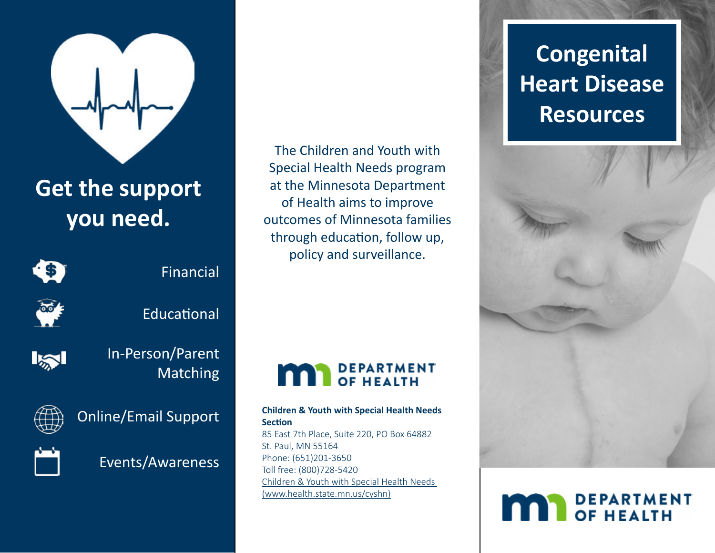

## **Get the support you need.**

## G

Financial



**Educational** 



In-Person/Parent Matching



Online/Email Support



Events/Awareness

The Children and Youth with Special Health Needs program at the Minnesota Department of Health aims to improve outcomes of Minnesota families through education, follow up, policy and surveillance.

# **MAN** DEPARTMENT

#### **Children & Youth with Special Health Needs Section**

85 East 7th Place, Suite 220, PO Box 64882 St. Paul, MN 55164 Phone: (651)201-3650 Toll free: (800)728-5420 [Children & Youth with Special Health Needs](http://www.health.state.mn.us/cyshn)  [\(www.health.state.mn.us/cyshn\)](http://www.health.state.mn.us/cyshn)

## **Congenital Heart Disease Resources**